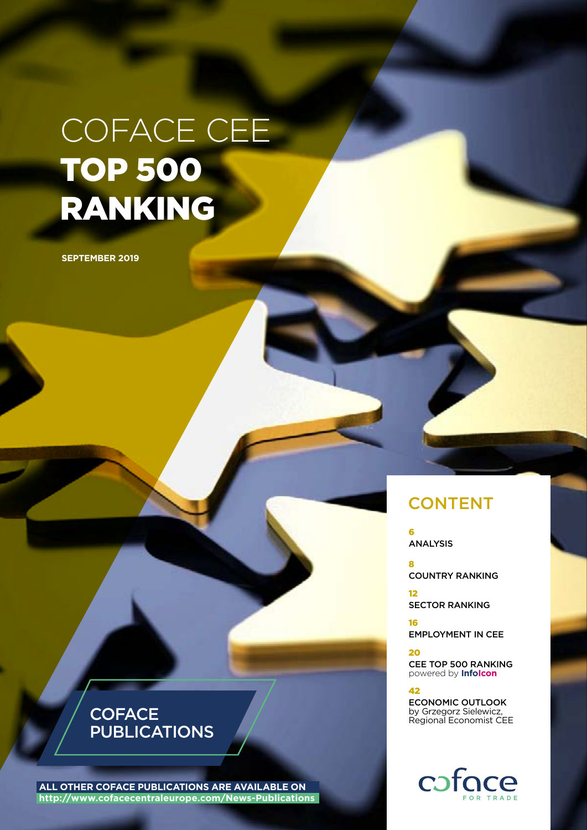# COFACE CEE TOP 500 RANKING

**SEPTEMBER 2019**

### **CONTENT**

6 ANALYSIS

8 COUNTRY RANKING

12 SECTOR RANKING

16 EMPLOYMENT IN CEE

20

CEE TOP 500 RANKING powered by **InfoIcon**

#### 42

ECONOMIC OUTLOOK by Grzegorz Sielewicz, Regional Economist CEE



## **COFACE** PUBLICATIONS

**ALL OTHER COFACE PUBLICATIONS ARE AVAILABLE ON http://www.cofacecentraleurope.com/News-Publications**